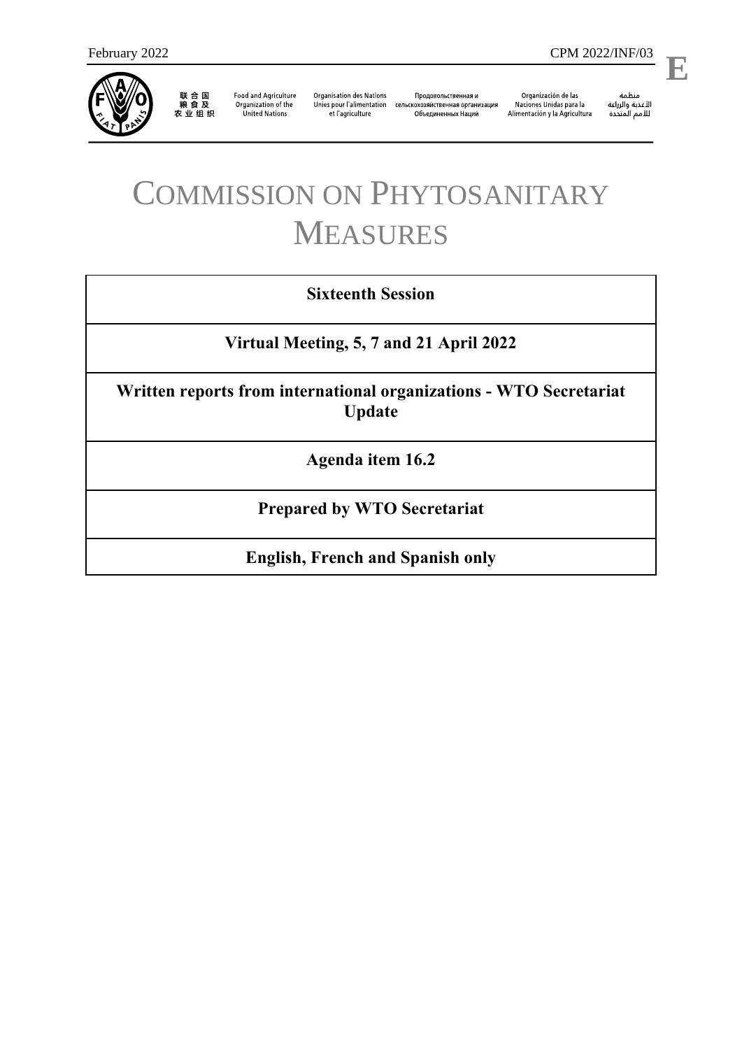

联合国<br>粮食及<br>农业组织

**Food and Agriculture** Organization of the **United Nations** 

**Organisation des Nations** et l'agriculture

Продовольственная и Unies pour l'alimentation сельскохозяйственная организация Объединенных Наций

Organización de las Naciones Unidas para la Alimentación y la Agricultura منظمة

l,

**E**

# COMMISSION ON PHYTOSANITARY MEASURES

# **Sixteenth Session**

**Virtual Meeting, 5, 7 and 21 April 2022**

**Written reports from international organizations - WTO Secretariat Update**

**Agenda item 16.2**

**Prepared by WTO Secretariat**

**English, French and Spanish only**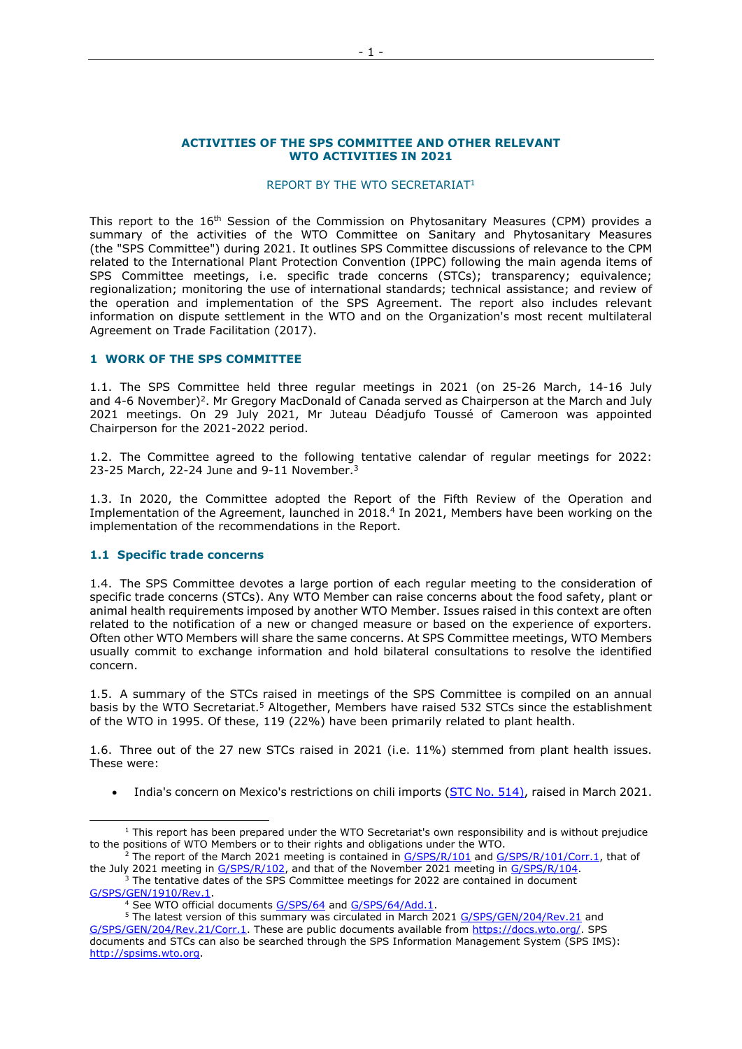#### **ACTIVITIES OF THE SPS COMMITTEE AND OTHER RELEVANT WTO ACTIVITIES IN 2021**

#### REPORT BY THE WTO SECRETARIAT<sup>1</sup>

This report to the 16<sup>th</sup> Session of the Commission on Phytosanitary Measures (CPM) provides a summary of the activities of the WTO Committee on Sanitary and Phytosanitary Measures (the "SPS Committee") during 2021. It outlines SPS Committee discussions of relevance to the CPM related to the International Plant Protection Convention (IPPC) following the main agenda items of SPS Committee meetings, i.e. specific trade concerns (STCs); transparency; equivalence; regionalization; monitoring the use of international standards; technical assistance; and review of the operation and implementation of the SPS Agreement. The report also includes relevant information on dispute settlement in the WTO and on the Organization's most recent multilateral Agreement on Trade Facilitation (2017).

#### **1 WORK OF THE SPS COMMITTEE**

1.1. The SPS Committee held three regular meetings in 2021 (on 25-26 March, 14-16 July and 4-6 November)<sup>2</sup>. Mr Gregory MacDonald of Canada served as Chairperson at the March and July 2021 meetings. On 29 July 2021, Mr Juteau Déadjufo Toussé of Cameroon was appointed Chairperson for the 2021-2022 period.

1.2. The Committee agreed to the following tentative calendar of regular meetings for 2022: 23-25 March, 22-24 June and 9-11 November.<sup>3</sup>

1.3. In 2020, the Committee adopted the Report of the Fifth Review of the Operation and Implementation of the Agreement, launched in 2018.<sup>4</sup> In 2021, Members have been working on the implementation of the recommendations in the Report.

# <span id="page-1-0"></span>**1.1 Specific trade concerns**

-

1.4. The SPS Committee devotes a large portion of each regular meeting to the consideration of specific trade concerns (STCs). Any WTO Member can raise concerns about the food safety, plant or animal health requirements imposed by another WTO Member. Issues raised in this context are often related to the notification of a new or changed measure or based on the experience of exporters. Often other WTO Members will share the same concerns. At SPS Committee meetings, WTO Members usually commit to exchange information and hold bilateral consultations to resolve the identified concern.

1.5. A summary of the STCs raised in meetings of the SPS Committee is compiled on an annual basis by the WTO Secretariat.<sup>5</sup> Altogether, Members have raised 532 STCs since the establishment of the WTO in 1995. Of these, 119 (22%) have been primarily related to plant health.

1.6. Three out of the 27 new STCs raised in 2021 (i.e. 11%) stemmed from plant health issues. These were:

• India's concern on Mexico's restrictions on chili imports [\(STC](http://spsims.wto.org/en/SpecificTradeConcerns/View?ImsId=514) No. 514), raised in March 2021.

 $1$  This report has been prepared under the WTO Secretariat's own responsibility and is without prejudice to the positions of WTO Members or to their rights and obligations under the WTO.

 $2^2$  The report of the March 2021 meeting is contained in [G/SPS/R/101](https://docs.wto.org/dol2fe/Pages/FE_Search/FE_S_S006.aspx?DataSource=Cat&query=@Symbol=%22G/SPS/R/101%22%20OR%20@Symbol=%22G/SPS/R/101/*%22&Language=English&Context=ScriptedSearches&languageUIChanged=true) and [G/SPS/R/101/Corr.1,](https://docs.wto.org/dol2fe/Pages/FE_Search/FE_S_S006.aspx?DataSource=Cat&query=@Symbol=%22G/SPS/R/101/Corr.1%22%20OR%20@Symbol=%22G/SPS/R/101/Corr.1/*%22&Language=English&Context=ScriptedSearches&languageUIChanged=true) that of the July 2021 meeting in [G/SPS/R/102,](https://docs.wto.org/dol2fe/Pages/FE_Search/FE_S_S006.aspx?DataSource=Cat&query=@Symbol=%22G/SPS/R/102%22%20OR%20@Symbol=%22G/SPS/R/102/*%22&Language=English&Context=ScriptedSearches&languageUIChanged=true) and that of the November 2021 meeting in [G/SPS/R/104.](https://docs.wto.org/dol2fe/Pages/FE_Search/FE_S_S006.aspx?DataSource=Cat&query=@Symbol=%22G/SPS/R/104%22%20OR%20@Symbol=%22G/SPS/R/104/*%22&Language=English&Context=ScriptedSearches&languageUIChanged=true)

<sup>3</sup> The tentative dates of the SPS Committee meetings for 2022 are contained in document [G/SPS/GEN/1910/Rev.1.](https://docs.wto.org/dol2fe/Pages/FE_Search/FE_S_S006.aspx?DataSource=Cat&query=@Symbol=%22G/SPS/GEN/1910%22%20OR%20@Symbol=%22G/SPS/GEN/1910/*%22&Language=English&Context=ScriptedSearches&languageUIChanged=true)

<sup>&</sup>lt;sup>4</sup> See WTO official documents [G/SPS/64](https://docs.wto.org/dol2fe/Pages/FE_Search/FE_S_S006.aspx?DataSource=Cat&query=@Symbol=%22G/SPS/64%22%20OR%20@Symbol=%22G/SPS/64/*%22&Language=English&Context=ScriptedSearches&languageUIChanged=true) and [G/SPS/64/Add.1.](https://docs.wto.org/dol2fe/Pages/FE_Search/FE_S_S006.aspx?DataSource=Cat&query=@Symbol=%22G/SPS/64/Add.1%22%20OR%20@Symbol=%22G/SPS/64/Add.1/*%22&Language=English&Context=ScriptedSearches&languageUIChanged=true)

<sup>&</sup>lt;sup>5</sup> The latest version of this summary was circulated in March 2021 [G/SPS/GEN/204/Rev.21](https://docs.wto.org/dol2fe/Pages/FE_Search/FE_S_S006.aspx?DataSource=Cat&query=@Symbol=%22G/SPS/GEN/204/Rev.21%22%20OR%20@Symbol=%22G/SPS/GEN/204/Rev.21/*%22&Language=English&Context=ScriptedSearches&languageUIChanged=true) and [G/SPS/GEN/204/Rev.21/Corr.1.](https://docs.wto.org/dol2fe/Pages/FE_Search/FE_S_S006.aspx?DataSource=Cat&query=@Symbol=%22G/SPS/GEN/204/Rev.21/Corr.1%22%20OR%20@Symbol=%22G/SPS/GEN/204/Rev.21/Corr.1/*%22&Language=English&Context=ScriptedSearches&languageUIChanged=true) These are public documents available from [https://docs.wto.org/.](https://docs.wto.org/) SPS documents and STCs can also be searched through the SPS Information Management System (SPS IMS): [http://spsims.wto.org.](http://spsims.wto.org/)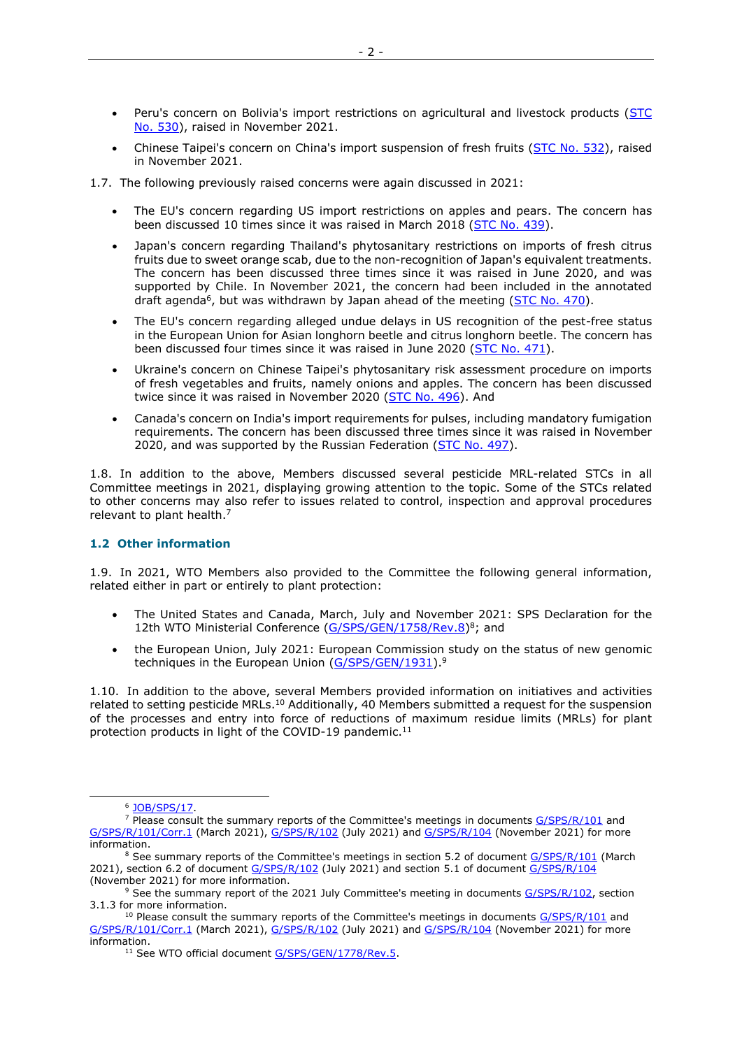- Peru's concern on Bolivia's import restrictions on agricultural and livestock products (STC [No. 530\)](http://spsims.wto.org/en/SpecificTradeConcerns/View?ImsId=530), raised in November 2021.
- Chinese Taipei's concern on China's import suspension of fresh fruits [\(STC No. 532\)](http://spsims.wto.org/en/SpecificTradeConcerns/View?ImsId=532), raised in November 2021.
- 1.7. The following previously raised concerns were again discussed in 2021:
	- The EU's concern regarding US import restrictions on apples and pears. The concern has been discussed 10 times since it was raised in March 2018 [\(STC No. 439\)](http://spsims.wto.org/en/SpecificTradeConcerns/View?ImsId=439).
	- Japan's concern regarding Thailand's phytosanitary restrictions on imports of fresh citrus fruits due to sweet orange scab, due to the non-recognition of Japan's equivalent treatments. The concern has been discussed three times since it was raised in June 2020, and was supported by Chile. In November 2021, the concern had been included in the annotated draft agenda<sup>6</sup>, but was withdrawn by Japan ahead of the meeting [\(STC No. 470\)](http://spsims.wto.org/en/SpecificTradeConcerns/View?ImsId=470).
	- The EU's concern regarding alleged undue delays in US recognition of the pest-free status in the European Union for Asian longhorn beetle and citrus longhorn beetle. The concern has been discussed four times since it was raised in June 2020 [\(STC No. 471\)](http://spsims.wto.org/en/SpecificTradeConcerns/View?ImsId=471).
	- Ukraine's concern on Chinese Taipei's phytosanitary risk assessment procedure on imports of fresh vegetables and fruits, namely onions and apples. The concern has been discussed twice since it was raised in November 2020 [\(STC No. 496\)](http://spsims.wto.org/en/SpecificTradeConcerns/View?ImsId=496). And
	- Canada's concern on India's import requirements for pulses, including mandatory fumigation requirements. The concern has been discussed three times since it was raised in November 2020, and was supported by the Russian Federation [\(STC No. 497\)](http://spsims.wto.org/en/SpecificTradeConcerns/View?ImsId=497).

1.8. In addition to the above, Members discussed several pesticide MRL-related STCs in all Committee meetings in 2021, displaying growing attention to the topic. Some of the STCs related to other concerns may also refer to issues related to control, inspection and approval procedures relevant to plant health.<sup>7</sup>

# **1.2 Other information**

1.9. In 2021, WTO Members also provided to the Committee the following general information, related either in part or entirely to plant protection:

- The United States and Canada, March, July and November 2021: SPS Declaration for the 12th WTO Ministerial Conference [\(G/SPS/GEN/1758/Rev.8\)](https://docs.wto.org/dol2fe/Pages/FE_Search/FE_S_S006.aspx?MetaCollection=WTO&SymbolList=%22G%2fSPS%2fGEN%2f1758%2fRev.8%22+OR+%22G%2fSPS%2fGEN%2f1758%2fRev.8%2f*%22&Serial=&IssuingDateFrom=&IssuingDateTo=&CATTITLE=&ConcernedCountryList=&OtherCountryList=&SubjectList=&TypeList=&FullTextHash=371857150&ProductList=&BodyDescriptionList=&OrganizationList=&ArticleList=&Contents=&CollectionList=&RestrictionTypeName=&PostingDateFrom=&PostingDateTo=&DerestrictionDateFrom=&DerestrictionDateTo=&ReferenceList=&Language=ENGLISH&SearchPage=FE_S_S001&ActiveTabIndex=0&HSClassificationList=&ServicesClassificationList=&EnvironmentClassificationList=&ICSClassificationList=&ICSClassificationDescList:EnvironmentClassificationDescList:ServicesClassificationDescList:HSClassificationDescList=&languageUIChanged=true)<sup>8</sup>; and
- the European Union, July 2021: European Commission study on the status of new genomic techniques in the European Union [\(G/SPS/GEN/1931\)](https://docs.wto.org/dol2fe/Pages/FE_Search/FE_S_S006.aspx?MetaCollection=WTO&SymbolList=%22G%2fSPS%2fGEN%2f1931%22&Serial=&IssuingDateFrom=&IssuingDateTo=&CATTITLE=&ConcernedCountryList=&OtherCountryList=&SubjectList=&TypeList=&FullTextHash=371857150&ProductList=&BodyDescriptionList=&OrganizationList=&ArticleList=&Contents=&CollectionList=&RestrictionTypeName=&PostingDateFrom=&PostingDateTo=&DerestrictionDateFrom=&DerestrictionDateTo=&ReferenceList=&Language=ENGLISH&SearchPage=FE_S_S001&ActiveTabIndex=0&HSClassificationList=&ServicesClassificationList=&EnvironmentClassificationList=&ICSClassificationList=&ICSClassificationDescList:EnvironmentClassificationDescList:ServicesClassificationDescList:HSClassificationDescList=&languageUIChanged=true).<sup>9</sup>

1.10. In addition to the above, several Members provided information on initiatives and activities related to setting pesticide MRLs.<sup>10</sup> Additionally, 40 Members submitted a request for the suspension of the processes and entry into force of reductions of maximum residue limits (MRLs) for plant protection products in light of the COVID-19 pandemic.<sup>11</sup>

-

<sup>&</sup>lt;sup>6</sup> [JOB/SPS/17.](https://docs.wto.org/dol2fe/Pages/FE_Search/FE_S_S006.aspx?MetaCollection=WTO&SymbolList=%22JOB%2fSPS%2f17%22+OR+%22JOB%2fSPS%2f17%2f*%22&Serial=&IssuingDateFrom=&IssuingDateTo=&CATTITLE=&ConcernedCountryList=&OtherCountryList=&SubjectList=&TypeList=&FullTextHash=371857150&ProductList=&BodyDescriptionList=&OrganizationList=&ArticleList=&Contents=&CollectionList=&RestrictionTypeName=&PostingDateFrom=&PostingDateTo=&DerestrictionDateFrom=&DerestrictionDateTo=&ReferenceList=&Language=ENGLISH&SearchPage=FE_S_S001&ActiveTabIndex=0&HSClassificationList=&ServicesClassificationList=&EnvironmentClassificationList=&ICSClassificationList=&ICSClassificationDescList:EnvironmentClassificationDescList:ServicesClassificationDescList:HSClassificationDescList=&languageUIChanged=true)

<sup>&</sup>lt;sup>7</sup> Please consult the summary reports of the Committee's meetings in documents [G/SPS/R/101](https://docs.wto.org/dol2fe/Pages/FE_Search/FE_S_S006.aspx?DataSource=Cat&query=@Symbol=%22G/SPS/R/101%22%20OR%20@Symbol=%22G/SPS/R/101/*%22&Language=English&Context=ScriptedSearches&languageUIChanged=true) and [G/SPS/R/101/Corr.1](https://docs.wto.org/dol2fe/Pages/FE_Search/FE_S_S006.aspx?DataSource=Cat&query=@Symbol=%22G/SPS/R/101/Corr.1%22%20OR%20@Symbol=%22G/SPS/R/101/Corr.1/*%22&Language=English&Context=ScriptedSearches&languageUIChanged=true) (March 2021), [G/SPS/R/102](https://docs.wto.org/dol2fe/Pages/FE_Search/FE_S_S006.aspx?DataSource=Cat&query=@Symbol=%22G/SPS/R/102%22%20OR%20@Symbol=%22G/SPS/R/102/*%22&Language=English&Context=ScriptedSearches&languageUIChanged=true) (July 2021) and [G/SPS/R/104](https://docs.wto.org/dol2fe/Pages/FE_Search/FE_S_S006.aspx?DataSource=Cat&query=@Symbol=%22G/SPS/R/104%22%20OR%20@Symbol=%22G/SPS/R/104/*%22&Language=English&Context=ScriptedSearches&languageUIChanged=true) (November 2021) for more information.

<sup>&</sup>lt;sup>8</sup> See summary reports of the Committee's meetings in section 5.2 of document [G/SPS/R/101](https://docs.wto.org/dol2fe/Pages/FE_Search/FE_S_S006.aspx?DataSource=Cat&query=@Symbol=%22G/SPS/R/101%22%20OR%20@Symbol=%22G/SPS/R/101/*%22&Language=English&Context=ScriptedSearches&languageUIChanged=true) (March 2021), section 6.2 of document [G/SPS/R/102](https://docs.wto.org/dol2fe/Pages/FE_Search/FE_S_S006.aspx?DataSource=Cat&query=@Symbol=%22G/SPS/R/102%22%20OR%20@Symbol=%22G/SPS/R/102/*%22&Language=English&Context=ScriptedSearches&languageUIChanged=true) (July 2021) and section 5.1 of document [G/SPS/R/104](https://docs.wto.org/dol2fe/Pages/FE_Search/FE_S_S006.aspx?DataSource=Cat&query=@Symbol=%22G/SPS/R/104%22%20OR%20@Symbol=%22G/SPS/R/104/*%22&Language=English&Context=ScriptedSearches&languageUIChanged=true) (November 2021) for more information.

<sup>&</sup>lt;sup>9</sup> See the summary report of the 2021 July Committee's meeting in documents [G/SPS/R/102,](https://docs.wto.org/dol2fe/Pages/FE_Search/FE_S_S006.aspx?DataSource=Cat&query=@Symbol=%22G/SPS/R/102%22%20OR%20@Symbol=%22G/SPS/R/102/*%22&Language=English&Context=ScriptedSearches&languageUIChanged=true) section 3.1.3 for more information.

 $10$  Please consult the summary reports of the Committee's meetings in documents  $G/SPS/R/101$  and [G/SPS/R/101/Corr.1](https://docs.wto.org/dol2fe/Pages/FE_Search/FE_S_S006.aspx?DataSource=Cat&query=@Symbol=%22G/SPS/R/101/Corr.1%22%20OR%20@Symbol=%22G/SPS/R/101/Corr.1/*%22&Language=English&Context=ScriptedSearches&languageUIChanged=true) (March 2021), [G/SPS/R/102](https://docs.wto.org/dol2fe/Pages/FE_Search/FE_S_S006.aspx?DataSource=Cat&query=@Symbol=%22G/SPS/R/102%22%20OR%20@Symbol=%22G/SPS/R/102/*%22&Language=English&Context=ScriptedSearches&languageUIChanged=true) (July 2021) and [G/SPS/R/104](https://docs.wto.org/dol2fe/Pages/FE_Search/FE_S_S006.aspx?DataSource=Cat&query=@Symbol=%22G/SPS/R/104%22%20OR%20@Symbol=%22G/SPS/R/104/*%22&Language=English&Context=ScriptedSearches&languageUIChanged=true) (November 2021) for more information.

<sup>&</sup>lt;sup>11</sup> See WTO official document [G/SPS/GEN/1778/Rev.5.](https://docs.wto.org/dol2fe/Pages/FE_Search/FE_S_S006.aspx?DataSource=Cat&query=@Symbol=%22G/SPS/GEN/1778/Rev.5%22%20OR%20@Symbol=%22G/SPS/GEN/1778/Rev.5/*%22&Language=English&Context=ScriptedSearches&languageUIChanged=true)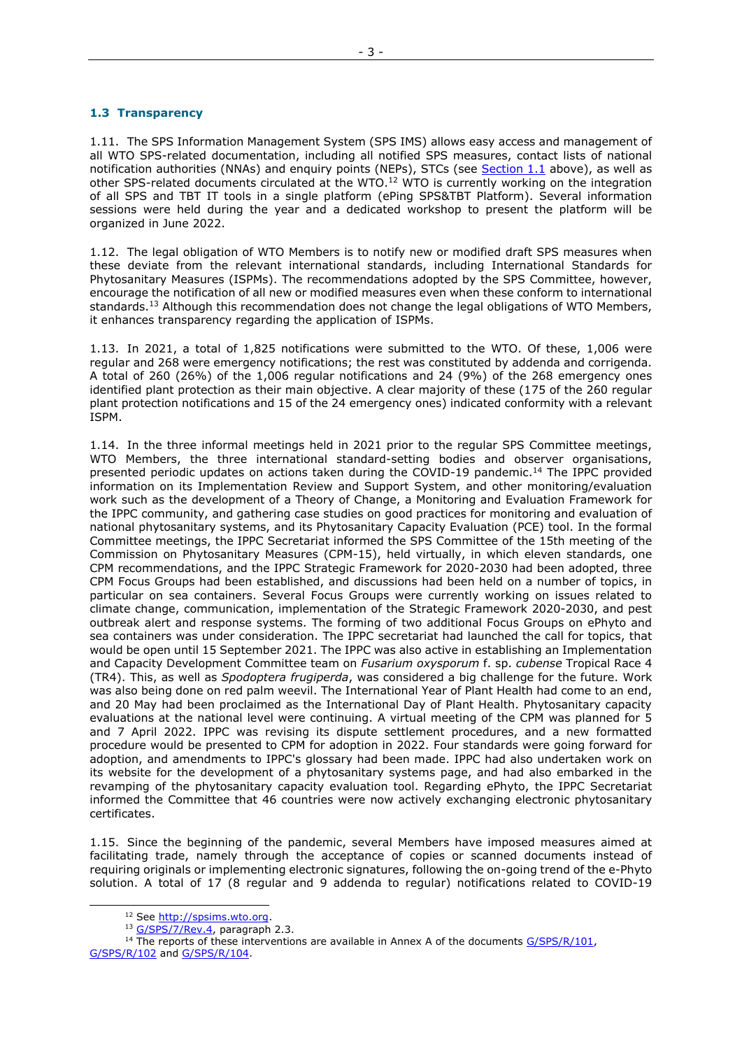# **1.3 Transparency**

1.11. The SPS Information Management System (SPS IMS) allows easy access and management of all WTO SPS-related documentation, including all notified SPS measures, contact lists of national notification authorities (NNAs) and enquiry points (NEPs), STCs (see [Section 1.1](#page-1-0) above), as well as other SPS-related documents circulated at the WTO.<sup>12</sup> WTO is currently working on the integration of all SPS and TBT IT tools in a single platform (ePing SPS&TBT Platform). Several information sessions were held during the year and a dedicated workshop to present the platform will be organized in June 2022.

1.12. The legal obligation of WTO Members is to notify new or modified draft SPS measures when these deviate from the relevant international standards, including International Standards for Phytosanitary Measures (ISPMs). The recommendations adopted by the SPS Committee, however, encourage the notification of all new or modified measures even when these conform to international standards.<sup>13</sup> Although this recommendation does not change the legal obligations of WTO Members, it enhances transparency regarding the application of ISPMs.

1.13. In 2021, a total of 1,825 notifications were submitted to the WTO. Of these, 1,006 were regular and 268 were emergency notifications; the rest was constituted by addenda and corrigenda. A total of 260 (26%) of the 1,006 regular notifications and 24 (9%) of the 268 emergency ones identified plant protection as their main objective. A clear majority of these (175 of the 260 regular plant protection notifications and 15 of the 24 emergency ones) indicated conformity with a relevant ISPM.

1.14. In the three informal meetings held in 2021 prior to the regular SPS Committee meetings, WTO Members, the three international standard-setting bodies and observer organisations, presented periodic updates on actions taken during the COVID-19 pandemic.<sup>14</sup> The IPPC provided information on its Implementation Review and Support System, and other monitoring/evaluation work such as the development of a Theory of Change, a Monitoring and Evaluation Framework for the IPPC community, and gathering case studies on good practices for monitoring and evaluation of national phytosanitary systems, and its Phytosanitary Capacity Evaluation (PCE) tool. In the formal Committee meetings, the IPPC Secretariat informed the SPS Committee of the 15th meeting of the Commission on Phytosanitary Measures (CPM-15), held virtually, in which eleven standards, one CPM recommendations, and the IPPC Strategic Framework for 2020-2030 had been adopted, three CPM Focus Groups had been established, and discussions had been held on a number of topics, in particular on sea containers. Several Focus Groups were currently working on issues related to climate change, communication, implementation of the Strategic Framework 2020-2030, and pest outbreak alert and response systems. The forming of two additional Focus Groups on ePhyto and sea containers was under consideration. The IPPC secretariat had launched the call for topics, that would be open until 15 September 2021. The IPPC was also active in establishing an Implementation and Capacity Development Committee team on *Fusarium oxysporum* f. sp. *cubense* Tropical Race 4 (TR4). This, as well as *Spodoptera frugiperda*, was considered a big challenge for the future. Work was also being done on red palm weevil. The International Year of Plant Health had come to an end, and 20 May had been proclaimed as the International Day of Plant Health. Phytosanitary capacity evaluations at the national level were continuing. A virtual meeting of the CPM was planned for 5 and 7 April 2022. IPPC was revising its dispute settlement procedures, and a new formatted procedure would be presented to CPM for adoption in 2022. Four standards were going forward for adoption, and amendments to IPPC's glossary had been made. IPPC had also undertaken work on its website for the development of a phytosanitary systems page, and had also embarked in the revamping of the phytosanitary capacity evaluation tool. Regarding ePhyto, the IPPC Secretariat informed the Committee that 46 countries were now actively exchanging electronic phytosanitary certificates.

1.15. Since the beginning of the pandemic, several Members have imposed measures aimed at facilitating trade, namely through the acceptance of copies or scanned documents instead of requiring originals or implementing electronic signatures, following the on-going trend of the e-Phyto solution. A total of 17 (8 regular and 9 addenda to regular) notifications related to COVID-19

-

<sup>&</sup>lt;sup>12</sup> See [http://spsims.wto.org.](http://spsims.wto.org/)

<sup>&</sup>lt;sup>13</sup> [G/SPS/7/Rev.4,](https://docs.wto.org/dol2fe/Pages/FE_Search/FE_S_S006.aspx?DataSource=Cat&query=@Symbol=%22G/SPS/7/Rev.4%22%20OR%20@Symbol=%22G/SPS/7/Rev.4/*%22&Language=English&Context=ScriptedSearches&languageUIChanged=true) paragraph 2.3.

<sup>&</sup>lt;sup>14</sup> The reports of these interventions are available in Annex A of the documents [G/SPS/R/101,](https://docs.wto.org/dol2fe/Pages/FE_Search/FE_S_S006.aspx?DataSource=Cat&query=@Symbol=%22G/SPS/R/101%22%20OR%20@Symbol=%22G/SPS/R/101/*%22&Language=English&Context=ScriptedSearches&languageUIChanged=true) [G/SPS/R/102](https://docs.wto.org/dol2fe/Pages/FE_Search/FE_S_S006.aspx?DataSource=Cat&query=@Symbol=%22G/SPS/R/102%22%20OR%20@Symbol=%22G/SPS/R/102/*%22&Language=English&Context=ScriptedSearches&languageUIChanged=true) and [G/SPS/R/104.](https://docs.wto.org/dol2fe/Pages/FE_Search/FE_S_S006.aspx?DataSource=Cat&query=@Symbol=%22G/SPS/R/104%22%20OR%20@Symbol=%22G/SPS/R/104/*%22&Language=English&Context=ScriptedSearches&languageUIChanged=true)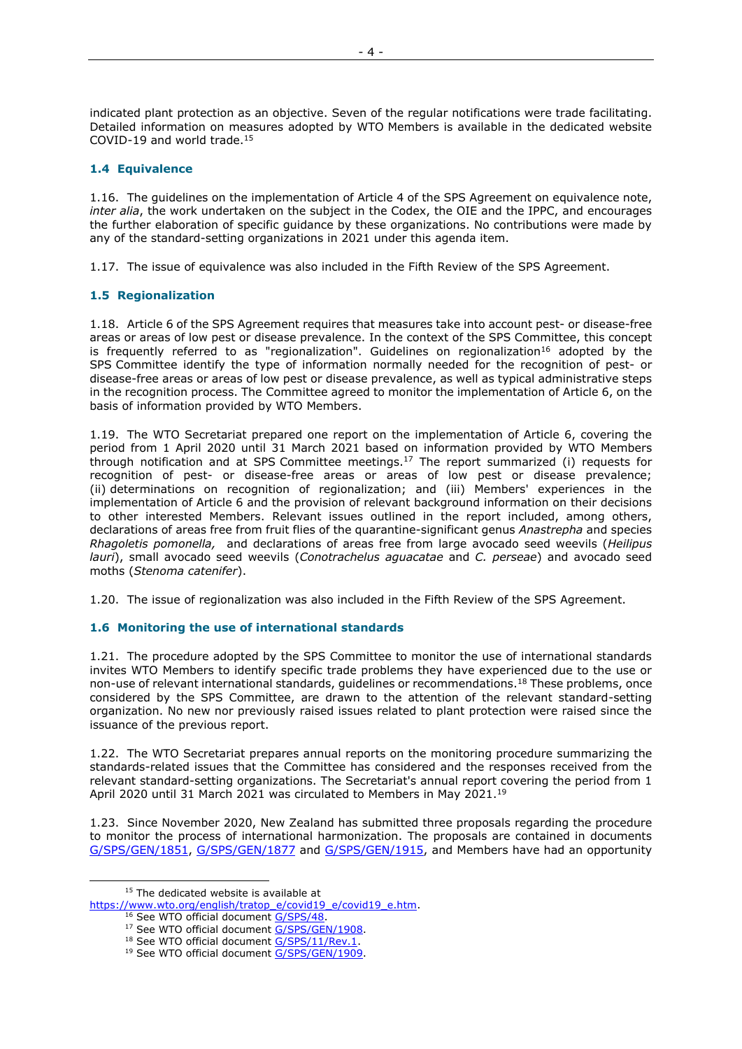indicated plant protection as an objective. Seven of the regular notifications were trade facilitating. Detailed information on measures adopted by WTO Members is available in the dedicated website COVID-19 and world trade.<sup>15</sup>

# **1.4 Equivalence**

1.16. The guidelines on the implementation of Article 4 of the SPS Agreement on equivalence note, *inter alia*, the work undertaken on the subject in the Codex, the OIE and the IPPC, and encourages the further elaboration of specific guidance by these organizations. No contributions were made by any of the standard-setting organizations in 2021 under this agenda item.

1.17. The issue of equivalence was also included in the Fifth Review of the SPS Agreement.

# **1.5 Regionalization**

1.18. Article 6 of the SPS Agreement requires that measures take into account pest- or disease-free areas or areas of low pest or disease prevalence. In the context of the SPS Committee, this concept is frequently referred to as "regionalization". Guidelines on regionalization<sup>16</sup> adopted by the SPS Committee identify the type of information normally needed for the recognition of pest- or disease-free areas or areas of low pest or disease prevalence, as well as typical administrative steps in the recognition process. The Committee agreed to monitor the implementation of Article 6, on the basis of information provided by WTO Members.

1.19. The WTO Secretariat prepared one report on the implementation of Article 6, covering the period from 1 April 2020 until 31 March 2021 based on information provided by WTO Members through notification and at SPS Committee meetings.<sup>17</sup> The report summarized (i) requests for recognition of pest- or disease-free areas or areas of low pest or disease prevalence; (ii) determinations on recognition of regionalization; and (iii) Members' experiences in the implementation of Article 6 and the provision of relevant background information on their decisions to other interested Members. Relevant issues outlined in the report included, among others, declarations of areas free from fruit flies of the quarantine-significant genus *Anastrepha* and species *Rhagoletis pomonella,* and declarations of areas free from large avocado seed weevils (*Heilipus lauri*), small avocado seed weevils (*Conotrachelus aguacatae* and *C. perseae*) and avocado seed moths (*Stenoma catenifer*).

1.20. The issue of regionalization was also included in the Fifth Review of the SPS Agreement.

# **1.6 Monitoring the use of international standards**

1.21. The procedure adopted by the SPS Committee to monitor the use of international standards invites WTO Members to identify specific trade problems they have experienced due to the use or non-use of relevant international standards, guidelines or recommendations.<sup>18</sup> These problems, once considered by the SPS Committee, are drawn to the attention of the relevant standard-setting organization. No new nor previously raised issues related to plant protection were raised since the issuance of the previous report.

1.22. The WTO Secretariat prepares annual reports on the monitoring procedure summarizing the standards-related issues that the Committee has considered and the responses received from the relevant standard-setting organizations. The Secretariat's annual report covering the period from 1 April 2020 until 31 March 2021 was circulated to Members in May 2021.<sup>19</sup>

1.23. Since November 2020, New Zealand has submitted three proposals regarding the procedure to monitor the process of international harmonization. The proposals are contained in documents [G/SPS/GEN/1851,](https://docs.wto.org/dol2fe/Pages/SS/directdoc.aspx?filename=q:/G/SPS/GEN1851.pdf&Open=True) [G/SPS/GEN/1877](https://docs.wto.org/dol2fe/Pages/FE_Search/FE_S_S006.aspx?DataSource=Cat&query=@Symbol=%22G/SPS/GEN/1877%22%20OR%20@Symbol=%22G/SPS/GEN/1877/*%22&Language=English&Context=ScriptedSearches&languageUIChanged=true) and [G/SPS/GEN/1915,](https://docs.wto.org/dol2fe/Pages/FE_Search/FE_S_S006.aspx?DataSource=Cat&query=@Symbol=%22G/SPS/GEN/1915)%22%20OR%20@Symbol=%22G/SPS/GEN/1915)/*%22&Language=English&Context=ScriptedSearches&languageUIChanged=true) and Members have had an opportunity

-

<sup>&</sup>lt;sup>15</sup> The dedicated website is available at

[https://www.wto.org/english/tratop\\_e/covid19\\_e/covid19\\_e.htm.](https://www.wto.org/english/tratop_e/covid19_e/covid19_e.htm)

<sup>&</sup>lt;sup>16</sup> See WTO official document [G/SPS/48.](https://docs.wto.org/dol2fe/Pages/FE_Search/FE_S_S006.aspx?DataSource=Cat&query=@Symbol=%22G/SPS/48%22%20OR%20@Symbol=%22G/SPS/48/*%22&Language=English&Context=ScriptedSearches&languageUIChanged=true)

<sup>&</sup>lt;sup>17</sup> See WTO official document **G/SPS/GEN/1908**.

<sup>&</sup>lt;sup>18</sup> See WTO official document [G/SPS/11/Rev.1.](https://docs.wto.org/dol2fe/Pages/FE_Search/FE_S_S006.aspx?DataSource=Cat&query=@Symbol=%22G/SPS/11/Rev.1%22%20OR%20@Symbol=%22G/SPS/11/Rev.1/*%22&Language=English&Context=ScriptedSearches&languageUIChanged=true)

<sup>&</sup>lt;sup>19</sup> See WTO official document **G/SPS/GEN/1909**.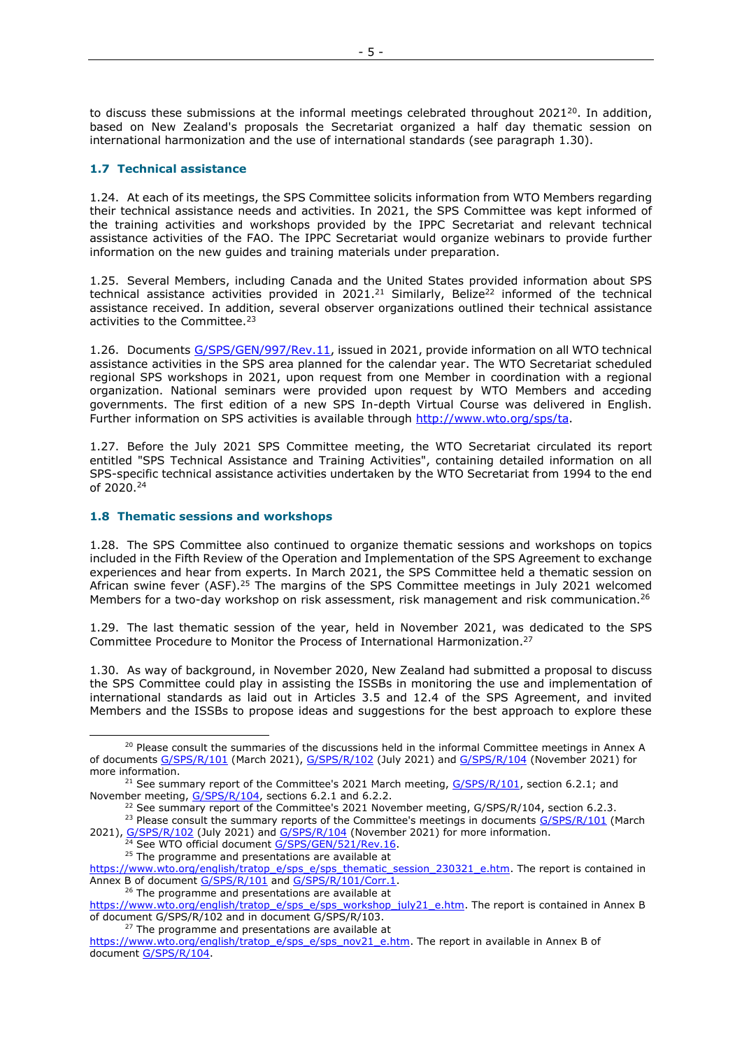to discuss these submissions at the informal meetings celebrated throughout 2021<sup>20</sup>. In addition, based on New Zealand's proposals the Secretariat organized a half day thematic session on international harmonization and the use of international standards (see paragraph 1.30).

# **1.7 Technical assistance**

1.24. At each of its meetings, the SPS Committee solicits information from WTO Members regarding their technical assistance needs and activities. In 2021, the SPS Committee was kept informed of the training activities and workshops provided by the IPPC Secretariat and relevant technical assistance activities of the FAO. The IPPC Secretariat would organize webinars to provide further information on the new guides and training materials under preparation.

1.25. Several Members, including Canada and the United States provided information about SPS technical assistance activities provided in 2021.<sup>21</sup> Similarly, Belize<sup>22</sup> informed of the technical assistance received. In addition, several observer organizations outlined their technical assistance activities to the Committee.<sup>23</sup>

1.26. Documents [G/SPS/GEN/997/Rev.11,](https://docs.wto.org/dol2fe/Pages/FE_Search/FE_S_S006.aspx?DataSource=Cat&query=@Symbol=%22G/SPS/GEN/997/Rev.11%22%20OR%20@Symbol=%22G/SPS/GEN/997/Rev.11/*%22&Language=English&Context=ScriptedSearches&languageUIChanged=true) issued in 2021, provide information on all WTO technical assistance activities in the SPS area planned for the calendar year. The WTO Secretariat scheduled regional SPS workshops in 2021, upon request from one Member in coordination with a regional organization. National seminars were provided upon request by WTO Members and acceding governments. The first edition of a new SPS In-depth Virtual Course was delivered in English. Further information on SPS activities is available through [http://www.wto.org/sps/ta.](http://www.wto.org/sps/ta)

1.27. Before the July 2021 SPS Committee meeting, the WTO Secretariat circulated its report entitled "SPS Technical Assistance and Training Activities", containing detailed information on all SPS-specific technical assistance activities undertaken by the WTO Secretariat from 1994 to the end of 2020. 24

# **1.8 Thematic sessions and workshops**

-

1.28. The SPS Committee also continued to organize thematic sessions and workshops on topics included in the Fifth Review of the Operation and Implementation of the SPS Agreement to exchange experiences and hear from experts. In March 2021, the SPS Committee held a thematic session on African swine fever (ASF).<sup>25</sup> The margins of the SPS Committee meetings in July 2021 welcomed Members for a two-day workshop on risk assessment, risk management and risk communication.<sup>26</sup>

1.29. The last thematic session of the year, held in November 2021, was dedicated to the SPS Committee Procedure to Monitor the Process of International Harmonization. 27

1.30. As way of background, in November 2020, New Zealand had submitted a proposal to discuss the SPS Committee could play in assisting the ISSBs in monitoring the use and implementation of international standards as laid out in Articles 3.5 and 12.4 of the SPS Agreement, and invited Members and the ISSBs to propose ideas and suggestions for the best approach to explore these

<sup>26</sup> The programme and presentations are available at

<sup>27</sup> The programme and presentations are available at

<sup>&</sup>lt;sup>20</sup> Please consult the summaries of the discussions held in the informal Committee meetings in Annex A of documents [G/SPS/R/101](https://docs.wto.org/dol2fe/Pages/FE_Search/FE_S_S006.aspx?DataSource=Cat&query=@Symbol=%22G/SPS/R/101%22%20OR%20@Symbol=%22G/SPS/R/101/*%22&Language=English&Context=ScriptedSearches&languageUIChanged=true) (March 2021), [G/SPS/R/102](https://docs.wto.org/dol2fe/Pages/FE_Search/FE_S_S006.aspx?DataSource=Cat&query=@Symbol=%22G/SPS/R/102%22%20OR%20@Symbol=%22G/SPS/R/102/*%22&Language=English&Context=ScriptedSearches&languageUIChanged=true) (July 2021) and [G/SPS/R/104](https://docs.wto.org/dol2fe/Pages/FE_Search/FE_S_S006.aspx?DataSource=Cat&query=@Symbol=%22G/SPS/R/104%22%20OR%20@Symbol=%22G/SPS/R/104/*%22&Language=English&Context=ScriptedSearches&languageUIChanged=true) (November 2021) for more information.

<sup>&</sup>lt;sup>21</sup> See summary report of the Committee's 2021 March meeting,  $G/SPS/R/101$ , section 6.2.1; and November meeting, [G/SPS/R/104,](https://docs.wto.org/dol2fe/Pages/FE_Search/FE_S_S006.aspx?DataSource=Cat&query=@Symbol=%22G/SPS/R/104%22%20OR%20@Symbol=%22G/SPS/R/104/*%22&Language=English&Context=ScriptedSearches&languageUIChanged=true) sections 6.2.1 and 6.2.2.

<sup>&</sup>lt;sup>22</sup> See summary report of the Committee's 2021 November meeting,  $G/SPS/R/104$ , section 6.2.3.

<sup>&</sup>lt;sup>23</sup> Please consult the summary reports of the Committee's meetings in documents [G/SPS/R/101](https://docs.wto.org/dol2fe/Pages/FE_Search/FE_S_S006.aspx?DataSource=Cat&query=@Symbol=%22G/SPS/R/101%22%20OR%20@Symbol=%22G/SPS/R/101/*%22&Language=English&Context=ScriptedSearches&languageUIChanged=true) (March 2021), [G/SPS/R/102](https://docs.wto.org/dol2fe/Pages/FE_Search/FE_S_S006.aspx?DataSource=Cat&query=@Symbol=%22G/SPS/R/102%22%20OR%20@Symbol=%22G/SPS/R/102/*%22&Language=English&Context=ScriptedSearches&languageUIChanged=true) (July 2021) and [G/SPS/R/104](https://docs.wto.org/dol2fe/Pages/FE_Search/FE_S_S006.aspx?DataSource=Cat&query=@Symbol=%22G/SPS/R/104%22%20OR%20@Symbol=%22G/SPS/R/104/*%22&Language=English&Context=ScriptedSearches&languageUIChanged=true) (November 2021) for more information.

<sup>&</sup>lt;sup>24</sup> See WTO official document [G/SPS/GEN/521/Rev.16.](https://docs.wto.org/dol2fe/Pages/FE_Search/FE_S_S006.aspx?DataSource=Cat&query=@Symbol=%22G/SPS/GEN/521/Rev.16%22%20OR%20@Symbol=%22G/SPS/GEN/521/Rev.16/*%22&Language=English&Context=ScriptedSearches&languageUIChanged=true) <sup>25</sup> The programme and presentations are available at

[https://www.wto.org/english/tratop\\_e/sps\\_e/sps\\_thematic\\_session\\_230321\\_e.htm.](https://www.wto.org/english/tratop_e/sps_e/sps_thematic_session_230321_e.htm) The report is contained in Annex B of document [G/SPS/R/101](https://docs.wto.org/dol2fe/Pages/FE_Search/FE_S_S006.aspx?DataSource=Cat&query=@Symbol=%22G/SPS/R/101%22%20OR%20@Symbol=%22G/SPS/R/101/*%22&Language=English&Context=ScriptedSearches&languageUIChanged=true) and [G/SPS/R/101/Corr.1.](https://docs.wto.org/dol2fe/Pages/FE_Search/FE_S_S006.aspx?DataSource=Cat&query=@Symbol=%22G/SPS/R/101%22%20OR%20@Symbol=%22G/SPS/R/101/*%22&Language=English&Context=ScriptedSearches&languageUIChanged=true)

[https://www.wto.org/english/tratop\\_e/sps\\_e/sps\\_workshop\\_july21\\_e.htm.](https://www.wto.org/english/tratop_e/sps_e/sps_workshop_july21_e.htm) The report is contained in Annex B of document G/SPS/R/102 and in document G/SPS/R/103.

[https://www.wto.org/english/tratop\\_e/sps\\_e/sps\\_nov21\\_e.htm.](https://www.wto.org/english/tratop_e/sps_e/sps_nov21_e.htm) The report in available in Annex B of document [G/SPS/R/104.](https://docs.wto.org/dol2fe/Pages/FE_Search/FE_S_S006.aspx?DataSource=Cat&query=@Symbol=%22G/SPS/R/104%22%20OR%20@Symbol=%22G/SPS/R/104/*%22&Language=English&Context=ScriptedSearches&languageUIChanged=true)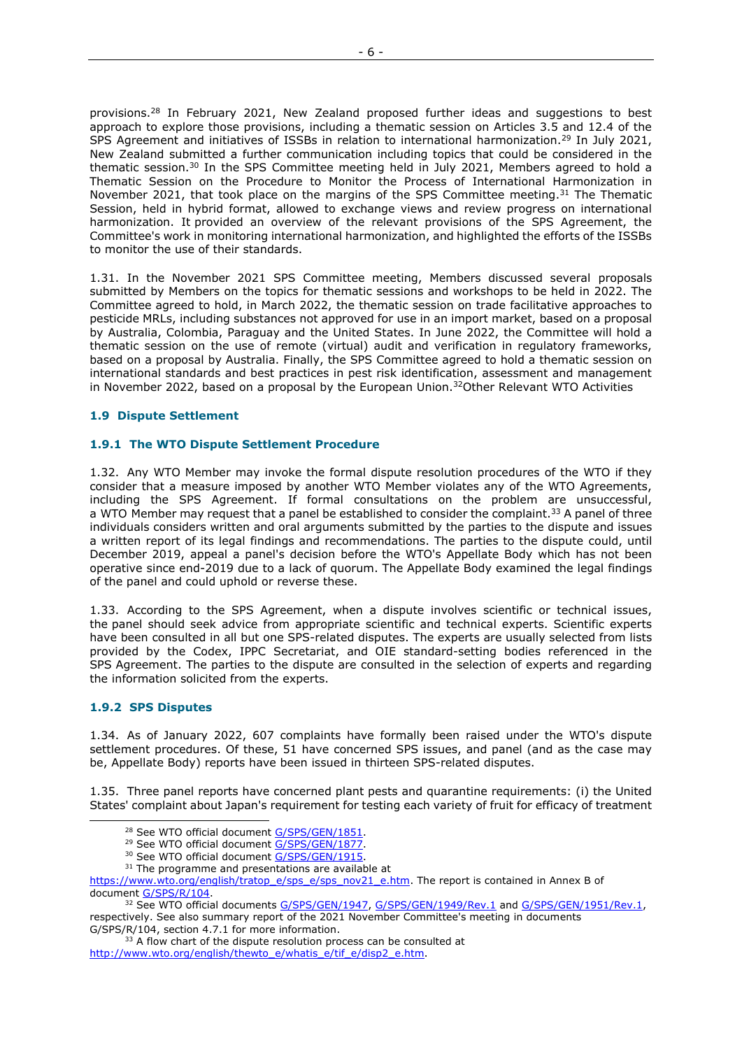provisions.<sup>28</sup> In February 2021, New Zealand proposed further ideas and suggestions to best approach to explore those provisions, including a thematic session on Articles 3.5 and 12.4 of the SPS Agreement and initiatives of ISSBs in relation to international harmonization.<sup>29</sup> In July 2021, New Zealand submitted a further communication including topics that could be considered in the thematic session.<sup>30</sup> In the SPS Committee meeting held in July 2021, Members agreed to hold a Thematic Session on the Procedure to Monitor the Process of International Harmonization in November 2021, that took place on the margins of the SPS Committee meeting.<sup>31</sup> The Thematic Session, held in hybrid format, allowed to exchange views and review progress on international harmonization. It provided an overview of the relevant provisions of the SPS Agreement, the Committee's work in monitoring international harmonization, and highlighted the efforts of the ISSBs to monitor the use of their standards.

1.31. In the November 2021 SPS Committee meeting, Members discussed several proposals submitted by Members on the topics for thematic sessions and workshops to be held in 2022. The Committee agreed to hold, in March 2022, the thematic session on trade facilitative approaches to pesticide MRLs, including substances not approved for use in an import market, based on a proposal by Australia, Colombia, Paraguay and the United States. In June 2022, the Committee will hold a thematic session on the use of remote (virtual) audit and verification in regulatory frameworks, based on a proposal by Australia. Finally, the SPS Committee agreed to hold a thematic session on international standards and best practices in pest risk identification, assessment and management in November 2022, based on a proposal by the European Union. $32$ Other Relevant WTO Activities

# **1.9 Dispute Settlement**

### **1.9.1 The WTO Dispute Settlement Procedure**

1.32. Any WTO Member may invoke the formal dispute resolution procedures of the WTO if they consider that a measure imposed by another WTO Member violates any of the WTO Agreements, including the SPS Agreement. If formal consultations on the problem are unsuccessful, a WTO Member may request that a panel be established to consider the complaint.<sup>33</sup> A panel of three individuals considers written and oral arguments submitted by the parties to the dispute and issues a written report of its legal findings and recommendations. The parties to the dispute could, until December 2019, appeal a panel's decision before the WTO's Appellate Body which has not been operative since end-2019 due to a lack of quorum. The Appellate Body examined the legal findings of the panel and could uphold or reverse these.

1.33. According to the SPS Agreement, when a dispute involves scientific or technical issues, the panel should seek advice from appropriate scientific and technical experts. Scientific experts have been consulted in all but one SPS-related disputes. The experts are usually selected from lists provided by the Codex, IPPC Secretariat, and OIE standard-setting bodies referenced in the SPS Agreement. The parties to the dispute are consulted in the selection of experts and regarding the information solicited from the experts.

### **1.9.2 SPS Disputes**

-

1.34. As of January 2022, 607 complaints have formally been raised under the WTO's dispute settlement procedures. Of these, 51 have concerned SPS issues, and panel (and as the case may be, Appellate Body) reports have been issued in thirteen SPS-related disputes.

1.35. Three panel reports have concerned plant pests and quarantine requirements: (i) the United States' complaint about Japan's requirement for testing each variety of fruit for efficacy of treatment

[https://www.wto.org/english/tratop\\_e/sps\\_e/sps\\_nov21\\_e.htm.](https://www.wto.org/english/tratop_e/sps_e/sps_nov21_e.htm) The report is contained in Annex B of document [G/SPS/R/104.](https://docs.wto.org/dol2fe/Pages/FE_Search/FE_S_S006.aspx?DataSource=Cat&query=@Symbol=%22G/SPS/R/104%22%20OR%20@Symbol=%22G/SPS/R/104/*%22&Language=English&Context=ScriptedSearches&languageUIChanged=true)

 $33$  A flow chart of the dispute resolution process can be consulted at [http://www.wto.org/english/thewto\\_e/whatis\\_e/tif\\_e/disp2\\_e.htm.](http://www.wto.org/english/thewto_e/whatis_e/tif_e/disp2_e.htm)

<sup>&</sup>lt;sup>28</sup> See WTO official document [G/SPS/GEN/1851.](https://docs.wto.org/dol2fe/Pages/FE_Search/FE_S_S006.aspx?DataSource=Cat&query=@Symbol=%22G/SPS/GEN/1851%22%20OR%20@Symbol=%22G/SPS/GEN/1851/*%22&Language=English&Context=ScriptedSearches&languageUIChanged=true)

<sup>&</sup>lt;sup>29</sup> See WTO official document [G/SPS/GEN/1877.](https://docs.wto.org/dol2fe/Pages/FE_Search/FE_S_S006.aspx?DataSource=Cat&query=@Symbol=%22G/SPS/GEN/1877%22%20OR%20@Symbol=%22G/SPS/GEN/1877/*%22&Language=English&Context=ScriptedSearches&languageUIChanged=true)

<sup>&</sup>lt;sup>30</sup> See WTO official document [G/SPS/GEN/1915.](https://docs.wto.org/dol2fe/Pages/FE_Search/FE_S_S006.aspx?DataSource=Cat&query=@Symbol=%22G/SPS/GEN/1915%22%20OR%20@Symbol=%22G/SPS/GEN/1915/*%22&Language=English&Context=ScriptedSearches&languageUIChanged=true)

<sup>&</sup>lt;sup>31</sup> The programme and presentations are available at

<sup>&</sup>lt;sup>32</sup> See WTO official documents [G/SPS/GEN/1947,](https://docs.wto.org/dol2fe/Pages/FE_Search/FE_S_S006.aspx?MetaCollection=WTO&SymbolList=%22G%2fSPS%2fGEN%2f1947%22+OR+%22G%2fSPS%2fGEN%2f1947%2f*%22&Serial=&IssuingDateFrom=&IssuingDateTo=&CATTITLE=&ConcernedCountryList=&OtherCountryList=&SubjectList=&TypeList=&FullTextHash=371857150&ProductList=&BodyDescriptionList=&OrganizationList=&ArticleList=&Contents=&CollectionList=&RestrictionTypeName=&PostingDateFrom=&PostingDateTo=&DerestrictionDateFrom=&DerestrictionDateTo=&ReferenceList=&Language=ENGLISH&SearchPage=FE_S_S001&ActiveTabIndex=0&HSClassificationList=&ServicesClassificationList=&EnvironmentClassificationList=&ICSClassificationList=&ICSClassificationDescList:EnvironmentClassificationDescList:ServicesClassificationDescList:HSClassificationDescList=&languageUIChanged=true) [G/SPS/GEN/1949/Rev.1](https://docs.wto.org/dol2fe/Pages/FE_Search/FE_S_S006.aspx?MetaCollection=WTO&SymbolList=%22G%2fSPS%2fGEN%2f1949%22+OR+%22G%2fSPS%2fGEN%2f1949%2f*%22&Serial=&IssuingDateFrom=&IssuingDateTo=&CATTITLE=&ConcernedCountryList=&OtherCountryList=&SubjectList=&TypeList=&FullTextHash=371857150&ProductList=&BodyDescriptionList=&OrganizationList=&ArticleList=&Contents=&CollectionList=&RestrictionTypeName=&PostingDateFrom=&PostingDateTo=&DerestrictionDateFrom=&DerestrictionDateTo=&ReferenceList=&Language=ENGLISH&SearchPage=FE_S_S001&ActiveTabIndex=0&HSClassificationList=&ServicesClassificationList=&EnvironmentClassificationList=&ICSClassificationList=&ICSClassificationDescList:EnvironmentClassificationDescList:ServicesClassificationDescList:HSClassificationDescList=&languageUIChanged=true) and [G/SPS/GEN/1951/Rev.1,](https://docs.wto.org/dol2fe/Pages/FE_Search/FE_S_S006.aspx?MetaCollection=WTO&SymbolList=%22G%2fSPS%2fGEN%2f1951%22+OR+%22G%2fSPS%2fGEN%2f1951%2f*%22&Serial=&IssuingDateFrom=&IssuingDateTo=&CATTITLE=&ConcernedCountryList=&OtherCountryList=&SubjectList=&TypeList=&FullTextHash=371857150&ProductList=&BodyDescriptionList=&OrganizationList=&ArticleList=&Contents=&CollectionList=&RestrictionTypeName=&PostingDateFrom=&PostingDateTo=&DerestrictionDateFrom=&DerestrictionDateTo=&ReferenceList=&Language=ENGLISH&SearchPage=FE_S_S001&ActiveTabIndex=0&HSClassificationList=&ServicesClassificationList=&EnvironmentClassificationList=&ICSClassificationList=&ICSClassificationDescList:EnvironmentClassificationDescList:ServicesClassificationDescList:HSClassificationDescList=&languageUIChanged=true) respectively. See also summary report of the 2021 November Committee's meeting in documents G/SPS/R/104, section 4.7.1 for more information.